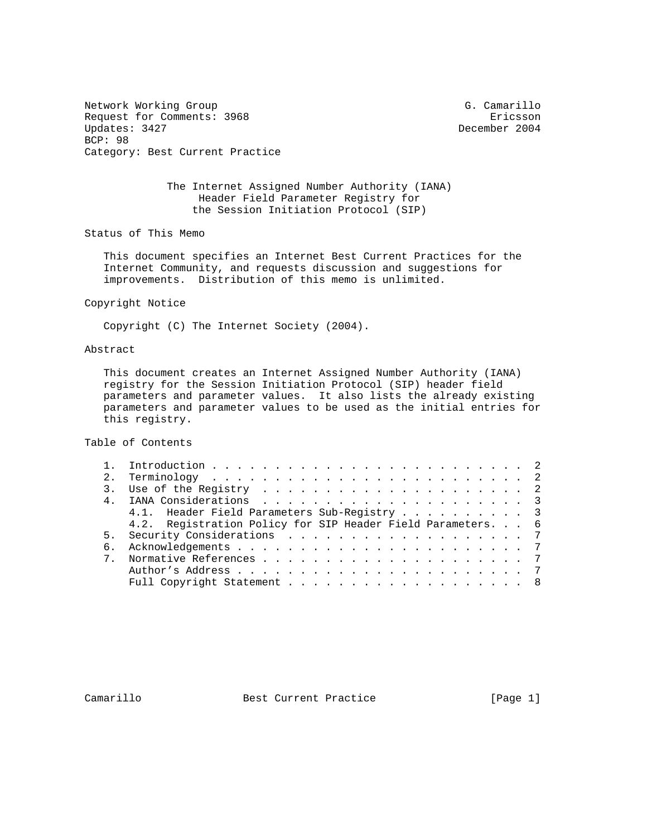Network Working Group G. Camarillo Request for Comments: 3968 Ericsson<br>Updates: 3427 Ericsson BCP: 98 Category: Best Current Practice

December 2004

 The Internet Assigned Number Authority (IANA) Header Field Parameter Registry for the Session Initiation Protocol (SIP)

Status of This Memo

 This document specifies an Internet Best Current Practices for the Internet Community, and requests discussion and suggestions for improvements. Distribution of this memo is unlimited.

Copyright Notice

Copyright (C) The Internet Society (2004).

## Abstract

 This document creates an Internet Assigned Number Authority (IANA) registry for the Session Initiation Protocol (SIP) header field parameters and parameter values. It also lists the already existing parameters and parameter values to be used as the initial entries for this registry.

Table of Contents

|  | 4.1. Header Field Parameters Sub-Registry 3                 |  |
|--|-------------------------------------------------------------|--|
|  | 4.2. Registration Policy for SIP Header Field Parameters. 6 |  |
|  |                                                             |  |
|  |                                                             |  |
|  |                                                             |  |
|  |                                                             |  |
|  | Full Copyright Statement 8                                  |  |
|  |                                                             |  |

Camarillo Best Current Practice [Page 1]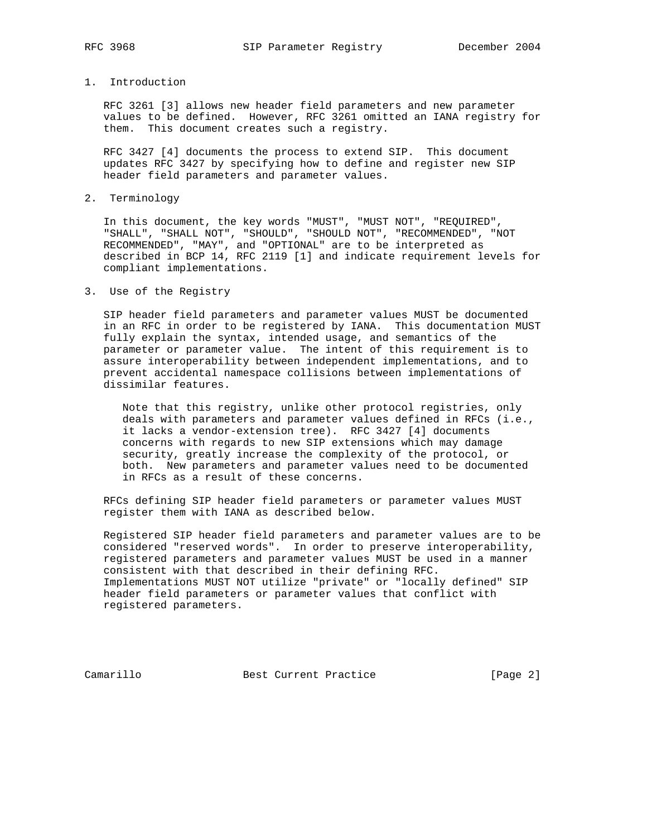## 1. Introduction

 RFC 3261 [3] allows new header field parameters and new parameter values to be defined. However, RFC 3261 omitted an IANA registry for them. This document creates such a registry.

 RFC 3427 [4] documents the process to extend SIP. This document updates RFC 3427 by specifying how to define and register new SIP header field parameters and parameter values.

2. Terminology

 In this document, the key words "MUST", "MUST NOT", "REQUIRED", "SHALL", "SHALL NOT", "SHOULD", "SHOULD NOT", "RECOMMENDED", "NOT RECOMMENDED", "MAY", and "OPTIONAL" are to be interpreted as described in BCP 14, RFC 2119 [1] and indicate requirement levels for compliant implementations.

3. Use of the Registry

 SIP header field parameters and parameter values MUST be documented in an RFC in order to be registered by IANA. This documentation MUST fully explain the syntax, intended usage, and semantics of the parameter or parameter value. The intent of this requirement is to assure interoperability between independent implementations, and to prevent accidental namespace collisions between implementations of dissimilar features.

 Note that this registry, unlike other protocol registries, only deals with parameters and parameter values defined in RFCs (i.e., it lacks a vendor-extension tree). RFC 3427 [4] documents concerns with regards to new SIP extensions which may damage security, greatly increase the complexity of the protocol, or both. New parameters and parameter values need to be documented in RFCs as a result of these concerns.

 RFCs defining SIP header field parameters or parameter values MUST register them with IANA as described below.

 Registered SIP header field parameters and parameter values are to be considered "reserved words". In order to preserve interoperability, registered parameters and parameter values MUST be used in a manner consistent with that described in their defining RFC. Implementations MUST NOT utilize "private" or "locally defined" SIP header field parameters or parameter values that conflict with registered parameters.

Camarillo Best Current Practice [Page 2]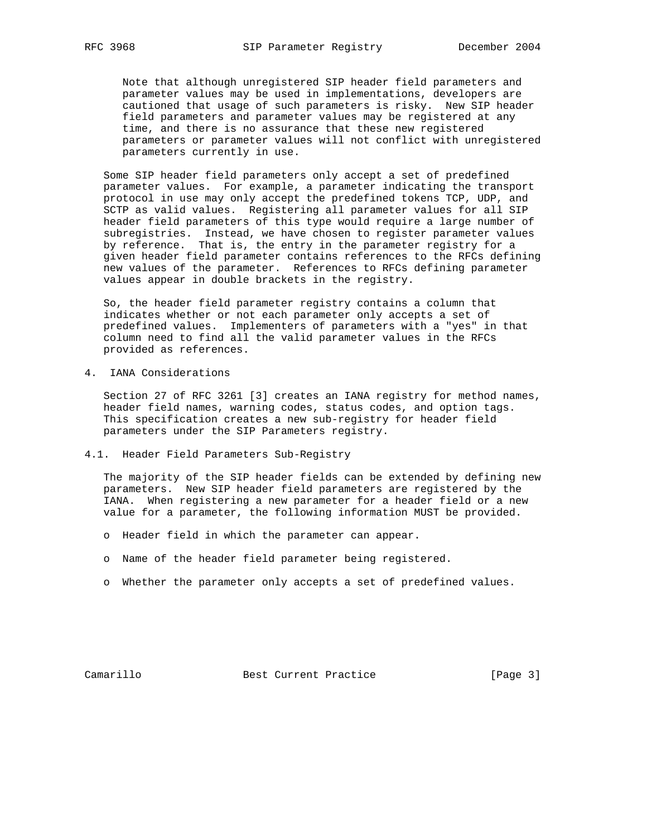Note that although unregistered SIP header field parameters and parameter values may be used in implementations, developers are cautioned that usage of such parameters is risky. New SIP header field parameters and parameter values may be registered at any time, and there is no assurance that these new registered parameters or parameter values will not conflict with unregistered parameters currently in use.

 Some SIP header field parameters only accept a set of predefined parameter values. For example, a parameter indicating the transport protocol in use may only accept the predefined tokens TCP, UDP, and SCTP as valid values. Registering all parameter values for all SIP header field parameters of this type would require a large number of subregistries. Instead, we have chosen to register parameter values by reference. That is, the entry in the parameter registry for a given header field parameter contains references to the RFCs defining new values of the parameter. References to RFCs defining parameter values appear in double brackets in the registry.

 So, the header field parameter registry contains a column that indicates whether or not each parameter only accepts a set of predefined values. Implementers of parameters with a "yes" in that column need to find all the valid parameter values in the RFCs provided as references.

4. IANA Considerations

 Section 27 of RFC 3261 [3] creates an IANA registry for method names, header field names, warning codes, status codes, and option tags. This specification creates a new sub-registry for header field parameters under the SIP Parameters registry.

4.1. Header Field Parameters Sub-Registry

 The majority of the SIP header fields can be extended by defining new parameters. New SIP header field parameters are registered by the IANA. When registering a new parameter for a header field or a new value for a parameter, the following information MUST be provided.

- o Header field in which the parameter can appear.
- o Name of the header field parameter being registered.
- o Whether the parameter only accepts a set of predefined values.

Camarillo Best Current Practice [Page 3]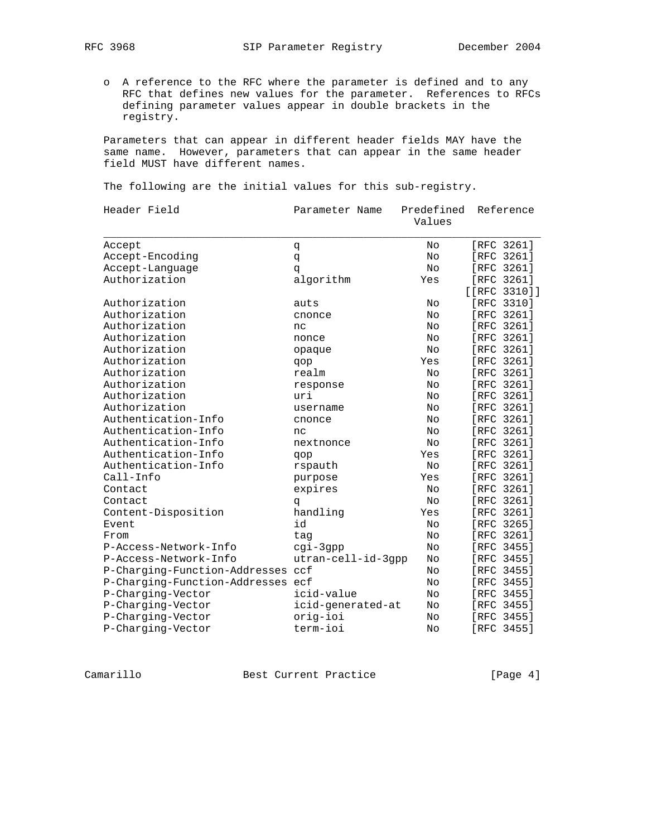o A reference to the RFC where the parameter is defined and to any RFC that defines new values for the parameter. References to RFCs defining parameter values appear in double brackets in the registry.

 Parameters that can appear in different header fields MAY have the same name. However, parameters that can appear in the same header field MUST have different names.

The following are the initial values for this sub-registry.

| Header Field                      | Parameter Name     | Predefined<br>Values | Reference        |
|-----------------------------------|--------------------|----------------------|------------------|
| Accept                            | đ                  | No                   | [RFC 3261]       |
| Accept-Encoding                   | đ                  | No                   | [RFC 3261]       |
| Accept-Language                   | q                  | No                   | [RFC 3261]       |
| Authorization                     | algorithm          | Yes                  | [RFC 3261]       |
|                                   |                    |                      | $[ [RFC 3310] ]$ |
| Authorization                     | auts               | No                   | [RFC 3310]       |
| Authorization                     | cnonce             | No                   | [RFC 3261]       |
| Authorization                     | nc                 | No                   | [RFC 3261]       |
| Authorization                     | nonce              | No                   | [RFC 3261]       |
| Authorization                     | opaque             | No                   | [RFC 3261]       |
| Authorization                     | qop                | Yes                  | [RFC 3261]       |
| Authorization                     | realm              | No                   | [RFC 3261]       |
| Authorization                     | response           | No                   | [RFC 3261]       |
| Authorization                     | uri                | No                   | [RFC 3261]       |
| Authorization                     | username           | No                   | [RFC 3261]       |
| Authentication-Info               | cnonce             | No                   | [RFC 3261]       |
| Authentication-Info               | nc                 | No                   | [RFC 3261]       |
| Authentication-Info               | nextnonce          | No                   | [RFC 3261]       |
| Authentication-Info               | qop                | Yes                  | [RFC 3261]       |
| Authentication-Info               | rspauth            | No                   | [RFC 3261]       |
| Call-Info                         | purpose            | Yes                  | [RFC 3261]       |
| Contact                           | expires            | No                   | [RFC 3261]       |
| Contact                           | đ                  | No                   | [RFC 3261]       |
| Content-Disposition               | handling           | Yes                  | [RFC 3261]       |
| Event                             | id                 | No                   | [RFC 3265]       |
| From                              | taq                | No                   | [RFC 3261]       |
| P-Access-Network-Info             | cgi-3gpp           | No                   | [RFC 3455]       |
| P-Access-Network-Info             | utran-cell-id-3qpp | No                   | [RFC 3455]       |
| P-Charging-Function-Addresses ccf |                    | No                   | [RFC 3455]       |
| P-Charging-Function-Addresses ecf |                    | No                   | [RFC 3455]       |
| P-Charging-Vector                 | icid-value         | No                   | [RFC 3455]       |
| P-Charging-Vector                 | icid-generated-at  | No                   | [RFC 3455]       |
| P-Charging-Vector                 | orig-ioi           | Νo                   | [RFC 3455]       |
| P-Charging-Vector                 | term-ioi           | No                   | [RFC 3455]       |
|                                   |                    |                      |                  |

Camarillo Best Current Practice [Page 4]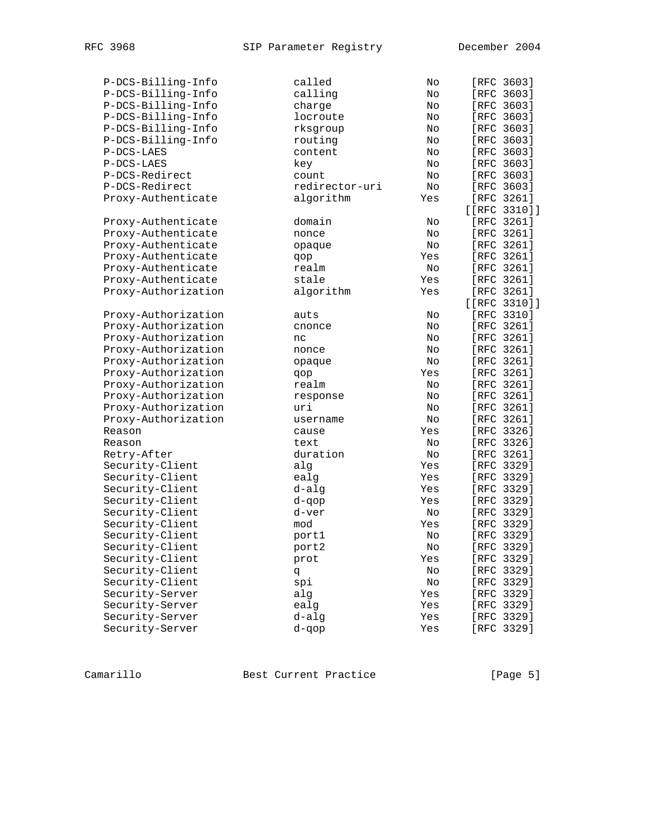| P-DCS-Billing-Info  | called         | No  | [RFC 3603]      |  |
|---------------------|----------------|-----|-----------------|--|
| P-DCS-Billing-Info  | calling        | No  | [RFC 3603]      |  |
| P-DCS-Billing-Info  | charge         | No  | [RFC 3603]      |  |
| P-DCS-Billing-Info  | locroute       | No  | [RFC 3603]      |  |
| P-DCS-Billing-Info  | rksgroup       | No  | [RFC 3603]      |  |
| P-DCS-Billing-Info  | routing        | No  | [RFC 3603]      |  |
| P-DCS-LAES          | content        | No  | [RFC 3603]      |  |
| P-DCS-LAES          | key            | No  | [RFC 3603]      |  |
| P-DCS-Redirect      | count          | No  | [RFC 3603]      |  |
| P-DCS-Redirect      | redirector-uri | No  | [RFC 3603]      |  |
| Proxy-Authenticate  | algorithm      | Yes | [RFC 3261]      |  |
|                     |                |     | [ [RFC 3310]]   |  |
| Proxy-Authenticate  | domain         | No  | [RFC 3261]      |  |
| Proxy-Authenticate  | nonce          | No  | [RFC 3261]      |  |
| Proxy-Authenticate  | opaque         | No  | [RFC 3261]      |  |
| Proxy-Authenticate  | qop            | Yes | [RFC 3261]      |  |
| Proxy-Authenticate  | realm          | No  | [RFC 3261]      |  |
| Proxy-Authenticate  | stale          | Yes | [RFC 3261]      |  |
| Proxy-Authorization | algorithm      | Yes | [RFC 3261]      |  |
|                     |                |     | $[ [RFC 3310]]$ |  |
| Proxy-Authorization | auts           | No  | [RFC 3310]      |  |
| Proxy-Authorization | cnonce         | No  | [RFC 3261]      |  |
| Proxy-Authorization | nc             | No  | [RFC 3261]      |  |
| Proxy-Authorization | nonce          | No  | [RFC 3261]      |  |
| Proxy-Authorization | opaque         | No  | [RFC 3261]      |  |
| Proxy-Authorization | qop            | Yes | [RFC 3261]      |  |
| Proxy-Authorization | realm          | No  | [RFC 3261]      |  |
| Proxy-Authorization | response       | No  | [RFC 3261]      |  |
| Proxy-Authorization | uri            | No  | [RFC 3261]      |  |
| Proxy-Authorization | username       | No  | [RFC 3261]      |  |
| Reason              | cause          | Yes | [RFC 3326]      |  |
| Reason              | text           | No  | [RFC 3326]      |  |
| Retry-After         | duration       | No  | [RFC 3261]      |  |
| Security-Client     | alg            | Yes | [RFC 3329]      |  |
| Security-Client     | ealg           | Yes | [RFC 3329]      |  |
| Security-Client     | d-alg          | Yes | [RFC 3329]      |  |
| Security-Client     | d-qop          | Yes | [RFC 3329]      |  |
| Security-Client     | d-ver          | No  | [RFC 3329]      |  |
| Security-Client     | mod            | Yes | [RFC 3329]      |  |
| Security-Client     | port1          | No  | [RFC 3329]      |  |
| Security-Client     | port2          | No  | [RFC 3329]      |  |
| Security-Client     | prot           | Yes | [RFC 3329]      |  |
| Security-Client     | đ              | No  | [RFC 3329]      |  |
| Security-Client     | spi            | No  | [RFC 3329]      |  |
| Security-Server     | alg            | Yes | [RFC 3329]      |  |
| Security-Server     | ealg           | Yes | [RFC 3329]      |  |
| Security-Server     | $d$ -alg       | Yes | [RFC 3329]      |  |
| Security-Server     | d-qop          | Yes | [RFC 3329]      |  |
|                     |                |     |                 |  |

Camarillo Best Current Practice [Page 5]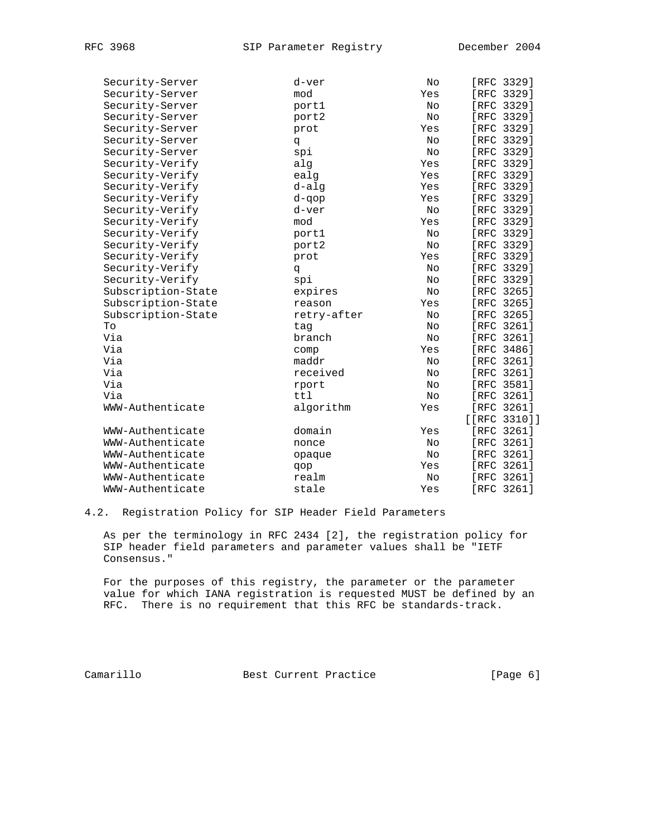| Security-Server    | d-ver       | No  | [RFC 3329]       |
|--------------------|-------------|-----|------------------|
| Security-Server    | mod         | Yes | [RFC 3329]       |
| Security-Server    | port1       | No  | [RFC 3329]       |
| Security-Server    | port2       | No  | [RFC 3329]       |
| Security-Server    | prot        | Yes | [RFC 3329]       |
| Security-Server    | q           | No  | [RFC 3329]       |
| Security-Server    | spi         | No  | [RFC 3329]       |
| Security-Verify    | alg         | Yes | [RFC 3329]       |
| Security-Verify    | ealg        | Yes | [RFC 3329]       |
| Security-Verify    | d-alg       | Yes | [RFC 3329]       |
| Security-Verify    | d-gop       | Yes | [RFC 3329]       |
| Security-Verify    | d-ver       | No  | [RFC 3329]       |
| Security-Verify    | mod         | Yes | [RFC 3329]       |
| Security-Verify    | port1       | No  | [RFC 3329]       |
| Security-Verify    | port2       | No  | [RFC 3329]       |
| Security-Verify    | prot        | Yes | [RFC 3329]       |
| Security-Verify    | q           | No  | [RFC 3329]       |
| Security-Verify    | spi         | No  | [RFC 3329]       |
| Subscription-State | expires     | No  | [RFC 3265]       |
| Subscription-State | reason      | Yes | [RFC 3265]       |
| Subscription-State | retry-after | No  | [RFC 3265]       |
| To                 | tag         | No  | [RFC 3261]       |
| Via                | branch      | No  | [RFC 3261]       |
| Via                | comp        | Yes | [RFC 3486]       |
| Via                | maddr       | No  | [RFC 3261]       |
| Via                | received    | No  | [RFC 3261]       |
| Via                | rport       | No  | [RFC 3581]       |
| Via                | ttl         | No  | [RFC 3261]       |
| WWW-Authenticate   | algorithm   | Yes | [RFC 3261]       |
|                    |             |     | $[ [RFC 3310] ]$ |
| WWW-Authenticate   | domain      | Yes | [RFC 3261]       |
| WWW-Authenticate   | nonce       | No  | [RFC 3261]       |
| WWW-Authenticate   | opaque      | No  | [RFC 3261]       |
| WWW-Authenticate   | qop         | Yes | [RFC 3261]       |
| WWW-Authenticate   | realm       | No  | [RFC 3261]       |
| WWW-Authenticate   | stale       | Yes | FRFC 32611       |

## 4.2. Registration Policy for SIP Header Field Parameters

 As per the terminology in RFC 2434 [2], the registration policy for SIP header field parameters and parameter values shall be "IETF Consensus."

 For the purposes of this registry, the parameter or the parameter value for which IANA registration is requested MUST be defined by an RFC. There is no requirement that this RFC be standards-track.

Camarillo Best Current Practice [Page 6]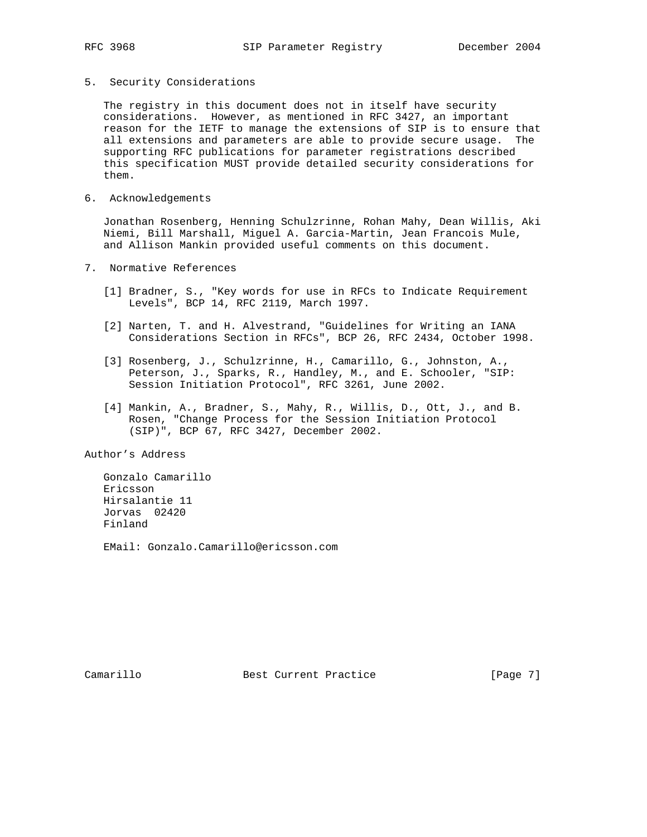5. Security Considerations

 The registry in this document does not in itself have security considerations. However, as mentioned in RFC 3427, an important reason for the IETF to manage the extensions of SIP is to ensure that all extensions and parameters are able to provide secure usage. The supporting RFC publications for parameter registrations described this specification MUST provide detailed security considerations for them.

6. Acknowledgements

 Jonathan Rosenberg, Henning Schulzrinne, Rohan Mahy, Dean Willis, Aki Niemi, Bill Marshall, Miguel A. Garcia-Martin, Jean Francois Mule, and Allison Mankin provided useful comments on this document.

- 7. Normative References
	- [1] Bradner, S., "Key words for use in RFCs to Indicate Requirement Levels", BCP 14, RFC 2119, March 1997.
	- [2] Narten, T. and H. Alvestrand, "Guidelines for Writing an IANA Considerations Section in RFCs", BCP 26, RFC 2434, October 1998.
	- [3] Rosenberg, J., Schulzrinne, H., Camarillo, G., Johnston, A., Peterson, J., Sparks, R., Handley, M., and E. Schooler, "SIP: Session Initiation Protocol", RFC 3261, June 2002.
	- [4] Mankin, A., Bradner, S., Mahy, R., Willis, D., Ott, J., and B. Rosen, "Change Process for the Session Initiation Protocol (SIP)", BCP 67, RFC 3427, December 2002.

Author's Address

 Gonzalo Camarillo Ericsson Hirsalantie 11 Jorvas 02420 Finland

EMail: Gonzalo.Camarillo@ericsson.com

Camarillo Best Current Practice [Page 7]